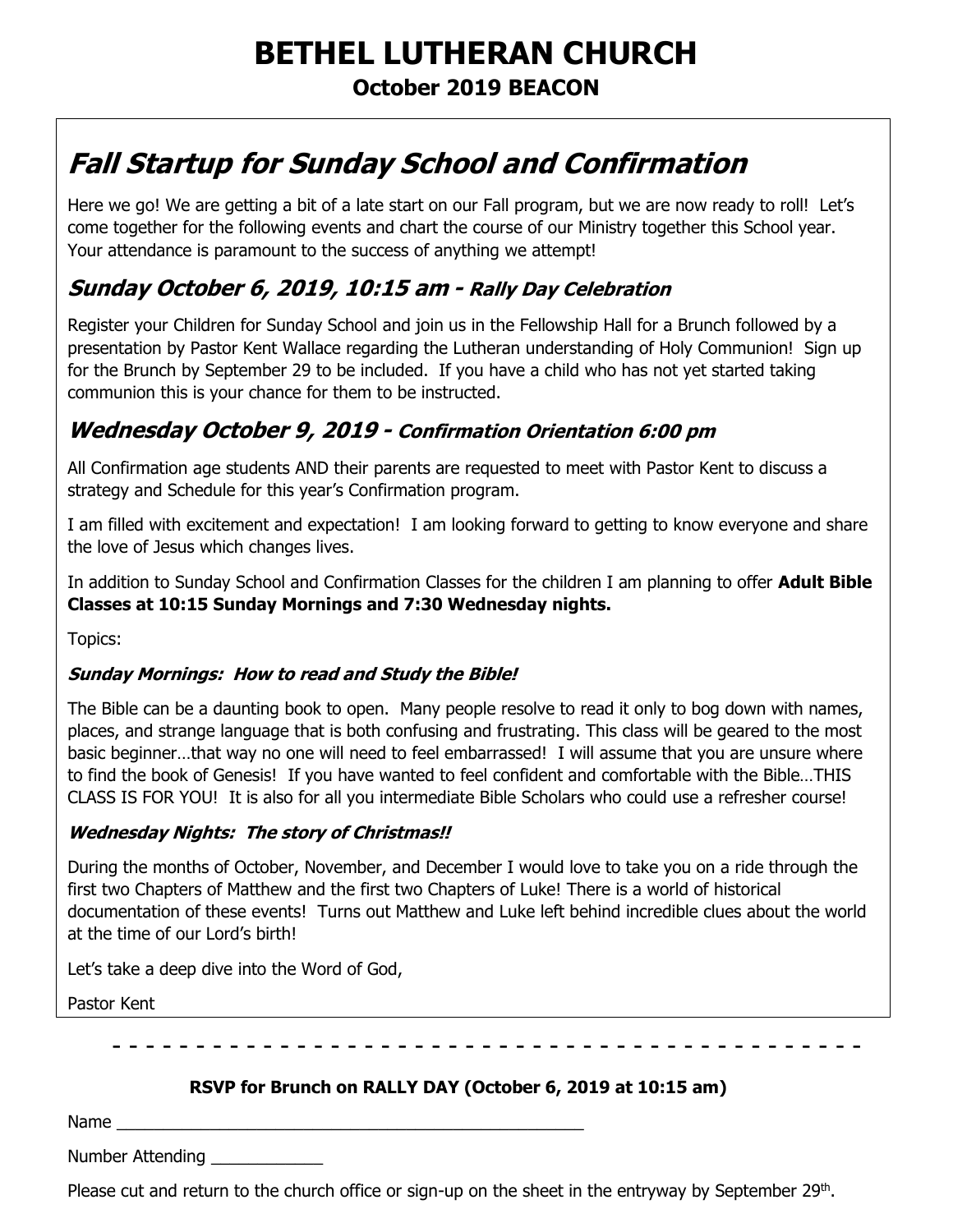# **BETHEL LUTHERAN CHURCH October 2019 BEACON**

# **Fall Startup for Sunday School and Confirmation**

Here we go! We are getting a bit of a late start on our Fall program, but we are now ready to roll! Let's come together for the following events and chart the course of our Ministry together this School year. Your attendance is paramount to the success of anything we attempt!

# **Sunday October 6, 2019, 10:15 am - Rally Day Celebration**

Register your Children for Sunday School and join us in the Fellowship Hall for a Brunch followed by a presentation by Pastor Kent Wallace regarding the Lutheran understanding of Holy Communion! Sign up for the Brunch by September 29 to be included. If you have a child who has not yet started taking communion this is your chance for them to be instructed.

# **Wednesday October 9, 2019 - Confirmation Orientation 6:00 pm**

All Confirmation age students AND their parents are requested to meet with Pastor Kent to discuss a strategy and Schedule for this year's Confirmation program.

I am filled with excitement and expectation! I am looking forward to getting to know everyone and share the love of Jesus which changes lives.

In addition to Sunday School and Confirmation Classes for the children I am planning to offer **Adult Bible Classes at 10:15 Sunday Mornings and 7:30 Wednesday nights.**

Topics:

#### **Sunday Mornings: How to read and Study the Bible!**

The Bible can be a daunting book to open. Many people resolve to read it only to bog down with names, places, and strange language that is both confusing and frustrating. This class will be geared to the most basic beginner…that way no one will need to feel embarrassed! I will assume that you are unsure where to find the book of Genesis! If you have wanted to feel confident and comfortable with the Bible…THIS CLASS IS FOR YOU! It is also for all you intermediate Bible Scholars who could use a refresher course!

#### **Wednesday Nights: The story of Christmas!!**

During the months of October, November, and December I would love to take you on a ride through the first two Chapters of Matthew and the first two Chapters of Luke! There is a world of historical documentation of these events! Turns out Matthew and Luke left behind incredible clues about the world at the time of our Lord's birth!

Let's take a deep dive into the Word of God,

Pastor Kent

- - - - - - - - - - - - - -

#### **RSVP for Brunch on RALLY DAY (October 6, 2019 at 10:15 am)**

Name

Number Attending

Please cut and return to the church office or sign-up on the sheet in the entryway by September 29<sup>th</sup>.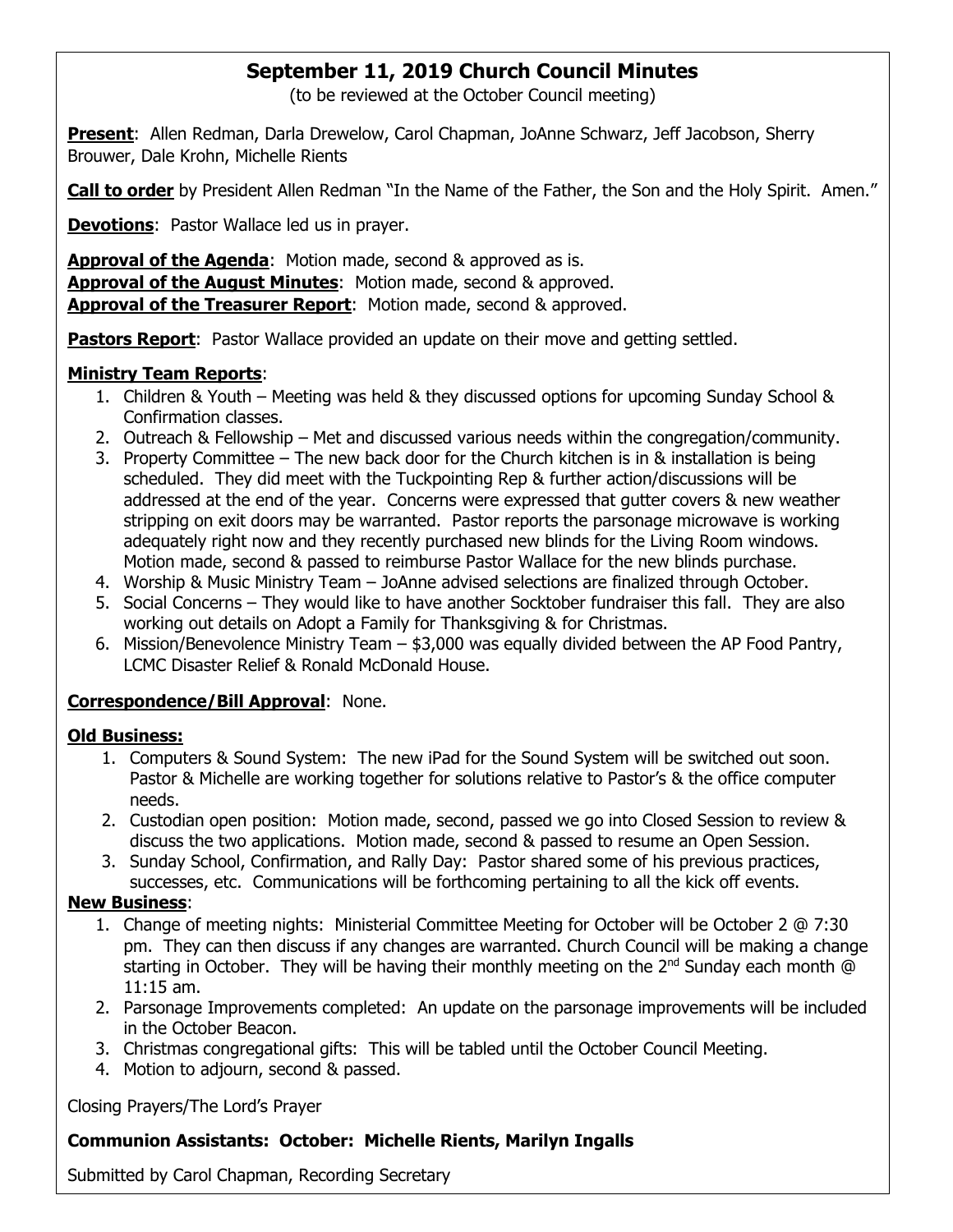## **September 11, 2019 Church Council Minutes**

(to be reviewed at the October Council meeting)

**Present**: Allen Redman, Darla Drewelow, Carol Chapman, JoAnne Schwarz, Jeff Jacobson, Sherry Brouwer, Dale Krohn, Michelle Rients

**Call to order** by President Allen Redman "In the Name of the Father, the Son and the Holy Spirit. Amen."

**Devotions**: Pastor Wallace led us in prayer.

**Approval of the Agenda**: Motion made, second & approved as is. **Approval of the August Minutes**: Motion made, second & approved. **Approval of the Treasurer Report**: Motion made, second & approved.

**Pastors Report:** Pastor Wallace provided an update on their move and getting settled.

#### **Ministry Team Reports**:

- 1. Children & Youth Meeting was held & they discussed options for upcoming Sunday School & Confirmation classes.
- 2. Outreach & Fellowship Met and discussed various needs within the congregation/community.
- 3. Property Committee The new back door for the Church kitchen is in & installation is being scheduled. They did meet with the Tuckpointing Rep & further action/discussions will be addressed at the end of the year. Concerns were expressed that gutter covers & new weather stripping on exit doors may be warranted. Pastor reports the parsonage microwave is working adequately right now and they recently purchased new blinds for the Living Room windows. Motion made, second & passed to reimburse Pastor Wallace for the new blinds purchase.
- 4. Worship & Music Ministry Team JoAnne advised selections are finalized through October.
- 5. Social Concerns They would like to have another Socktober fundraiser this fall. They are also working out details on Adopt a Family for Thanksgiving & for Christmas.
- 6. Mission/Benevolence Ministry Team \$3,000 was equally divided between the AP Food Pantry, LCMC Disaster Relief & Ronald McDonald House.

#### **Correspondence/Bill Approval**: None.

#### **Old Business:**

- 1. Computers & Sound System: The new iPad for the Sound System will be switched out soon. Pastor & Michelle are working together for solutions relative to Pastor's & the office computer needs.
- 2. Custodian open position: Motion made, second, passed we go into Closed Session to review & discuss the two applications. Motion made, second & passed to resume an Open Session.
- 3. Sunday School, Confirmation, and Rally Day: Pastor shared some of his previous practices, successes, etc. Communications will be forthcoming pertaining to all the kick off events.

#### **New Business**:

- 1. Change of meeting nights: Ministerial Committee Meeting for October will be October 2 @ 7:30 pm. They can then discuss if any changes are warranted. Church Council will be making a change starting in October. They will be having their monthly meeting on the 2<sup>nd</sup> Sunday each month @ 11:15 am.
- 2. Parsonage Improvements completed: An update on the parsonage improvements will be included in the October Beacon.
- 3. Christmas congregational gifts: This will be tabled until the October Council Meeting.
- 4. Motion to adjourn, second & passed.

Closing Prayers/The Lord's Prayer

#### **Communion Assistants: October: Michelle Rients, Marilyn Ingalls**

Submitted by Carol Chapman, Recording Secretary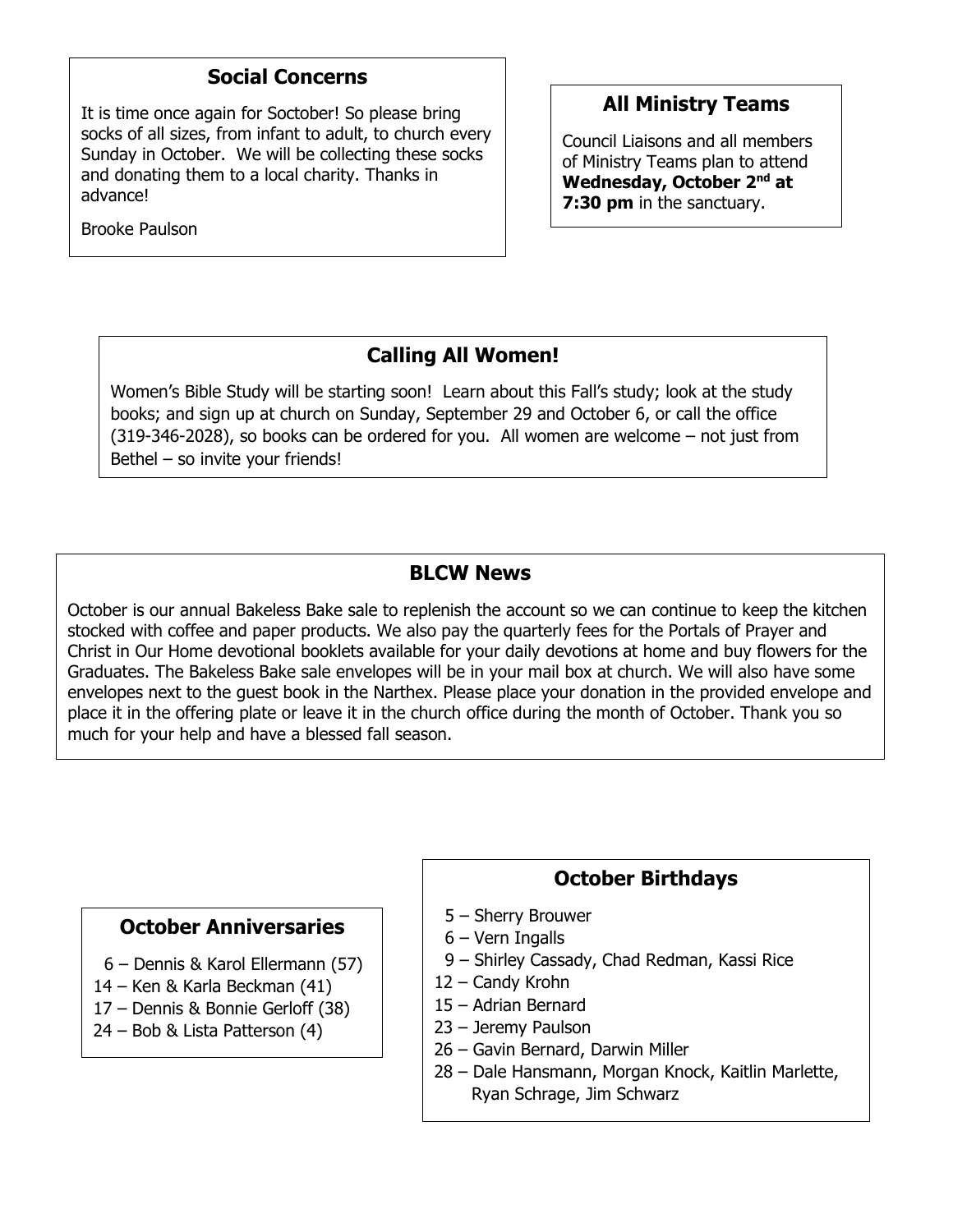### **Social Concerns**

It is time once again for Soctober! So please bring socks of all sizes, from infant to adult, to church every Sunday in October. We will be collecting these socks and donating them to a local charity. Thanks in advance!

Brooke Paulson

## **All Ministry Teams**

Council Liaisons and all members of Ministry Teams plan to attend **Wednesday, October 2 nd at 7:30 pm** in the sanctuary.

# **Calling All Women!**

Women's Bible Study will be starting soon! Learn about this Fall's study; look at the study books; and sign up at church on Sunday, September 29 and October 6, or call the office (319-346-2028), so books can be ordered for you. All women are welcome – not just from Bethel – so invite your friends!

#### **BLCW News**

October is our annual Bakeless Bake sale to replenish the account so we can continue to keep the kitchen stocked with coffee and paper products. We also pay the quarterly fees for the Portals of Prayer and Christ in Our Home devotional booklets available for your daily devotions at home and buy flowers for the Graduates. The Bakeless Bake sale envelopes will be in your mail box at church. We will also have some envelopes next to the guest book in the Narthex. Please place your donation in the provided envelope and place it in the offering plate or leave it in the church office during the month of October. Thank you so much for your help and have a blessed fall season.

#### **October Anniversaries**

- 6 Dennis & Karol Ellermann (57)
- 14 Ken & Karla Beckman (41)
- 17 Dennis & Bonnie Gerloff (38)
- 24 Bob & Lista Patterson (4)

#### **October Birthdays**

- 5 Sherry Brouwer
- 6 Vern Ingalls
- 9 Shirley Cassady, Chad Redman, Kassi Rice
- 12 Candy Krohn
- 15 Adrian Bernard
- 23 Jeremy Paulson
- 26 Gavin Bernard, Darwin Miller
- 28 Dale Hansmann, Morgan Knock, Kaitlin Marlette, Ryan Schrage, Jim Schwarz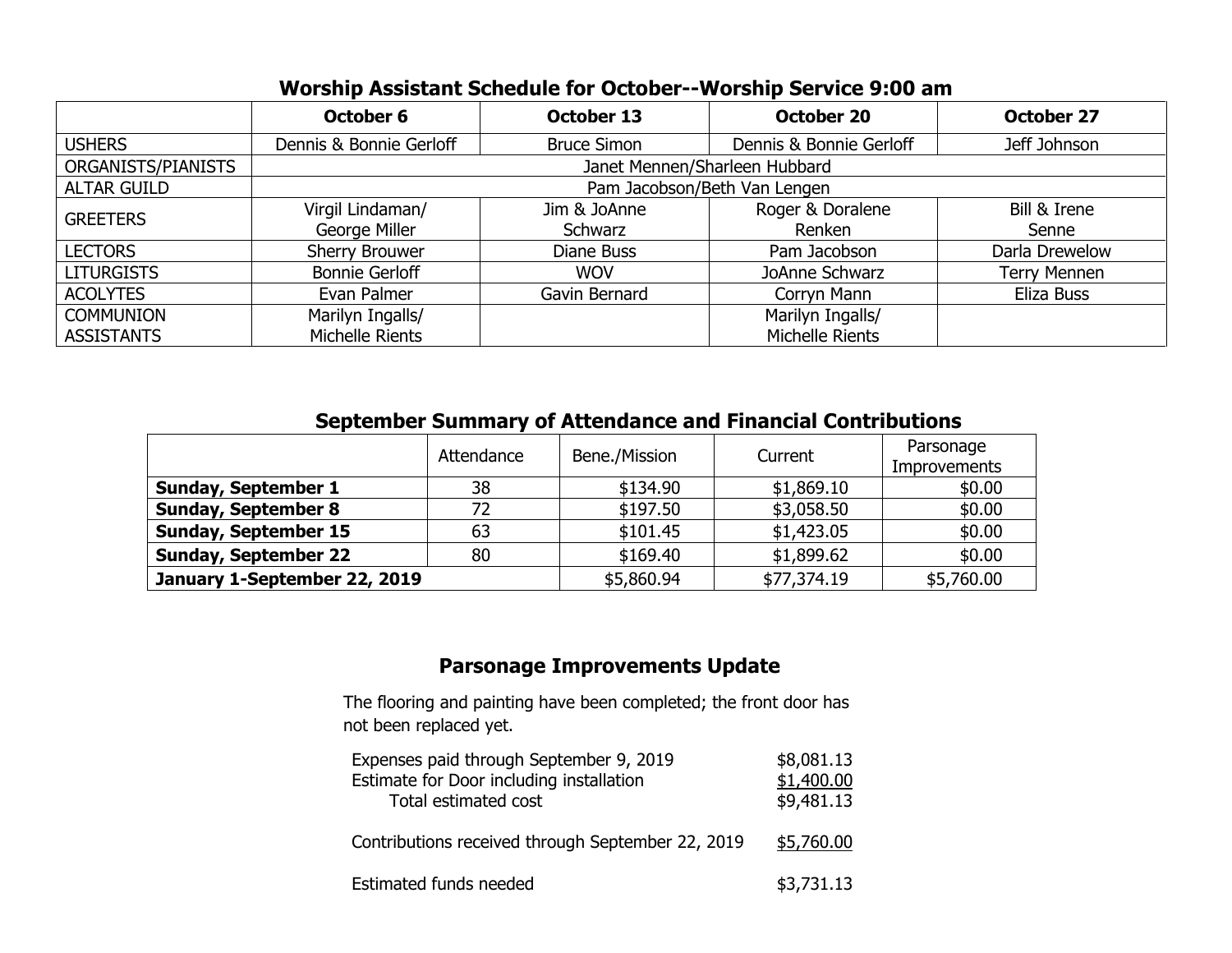|                    | October 6                     | October 13         | <b>October 20</b>       | <b>October 27</b>   |  |  |
|--------------------|-------------------------------|--------------------|-------------------------|---------------------|--|--|
| <b>USHERS</b>      | Dennis & Bonnie Gerloff       | <b>Bruce Simon</b> | Dennis & Bonnie Gerloff | Jeff Johnson        |  |  |
| ORGANISTS/PIANISTS | Janet Mennen/Sharleen Hubbard |                    |                         |                     |  |  |
| <b>ALTAR GUILD</b> | Pam Jacobson/Beth Van Lengen  |                    |                         |                     |  |  |
| <b>GREETERS</b>    | Virgil Lindaman/              | Jim & JoAnne       | Roger & Doralene        | Bill & Irene        |  |  |
|                    | George Miller                 | Schwarz            | Renken                  | Senne               |  |  |
| <b>LECTORS</b>     | Sherry Brouwer                | Diane Buss         | Pam Jacobson            | Darla Drewelow      |  |  |
| <b>LITURGISTS</b>  | <b>Bonnie Gerloff</b>         | <b>WOV</b>         | JoAnne Schwarz          | <b>Terry Mennen</b> |  |  |
| <b>ACOLYTES</b>    | Evan Palmer                   | Gavin Bernard      | Corryn Mann             | Eliza Buss          |  |  |
| <b>COMMUNION</b>   | Marilyn Ingalls/              |                    | Marilyn Ingalls/        |                     |  |  |
| <b>ASSISTANTS</b>  | Michelle Rients               |                    | Michelle Rients         |                     |  |  |

| <b>September Summary of Attendance and Financial Contributions</b> |            |               |             |                                  |  |  |  |
|--------------------------------------------------------------------|------------|---------------|-------------|----------------------------------|--|--|--|
|                                                                    | Attendance | Bene./Mission | Current     | Parsonage<br><b>Improvements</b> |  |  |  |
| <b>Sunday, September 1</b>                                         | 38         | \$134.90      | \$1,869.10  | \$0.00                           |  |  |  |
| <b>Sunday, September 8</b>                                         | 72         | \$197.50      | \$3,058.50  | \$0.00                           |  |  |  |
| <b>Sunday, September 15</b>                                        | 63         | \$101.45      | \$1,423.05  | \$0.00                           |  |  |  |
| <b>Sunday, September 22</b>                                        | 80         | \$169.40      | \$1,899.62  | \$0.00                           |  |  |  |
| January 1-September 22, 2019                                       |            | \$5,860.94    | \$77,374.19 | \$5,760.00                       |  |  |  |

# **Parsonage Improvements Update**

The flooring and painting have been completed; the front door has not been replaced yet.

| Expenses paid through September 9, 2019<br>Estimate for Door including installation<br>Total estimated cost | \$8,081.13<br>\$1,400.00<br>\$9,481.13 |
|-------------------------------------------------------------------------------------------------------------|----------------------------------------|
| Contributions received through September 22, 2019                                                           | \$5,760.00                             |
| Estimated funds needed                                                                                      | \$3,731.13                             |